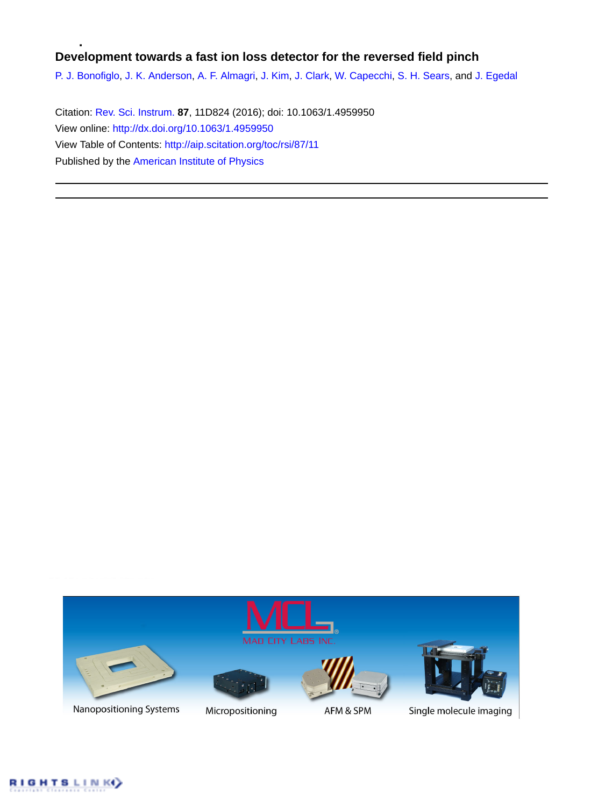# **Development towards a fast ion loss detector for the reversed field pinch**

[P. J. Bonofiglo](http://aip.scitation.org/author/Bonofiglo%2C+P+J), [J. K. Anderson](http://aip.scitation.org/author/Anderson%2C+J+K), [A. F. Almagri,](http://aip.scitation.org/author/Almagri%2C+A+F) [J. Kim,](http://aip.scitation.org/author/Kim%2C+J) [J. Clark](http://aip.scitation.org/author/Clark%2C+J), [W. Capecchi,](http://aip.scitation.org/author/Capecchi%2C+W) [S. H. Sears,](http://aip.scitation.org/author/Sears%2C+S+H) and [J. Egedal](http://aip.scitation.org/author/Egedal%2C+J)

Citation: [Rev. Sci. Instrum.](/loi/rsi) **87**, 11D824 (2016); doi: 10.1063/1.4959950 View online: <http://dx.doi.org/10.1063/1.4959950> View Table of Contents: <http://aip.scitation.org/toc/rsi/87/11> Published by the [American Institute of Physics](http://aip.scitation.org/publisher/)



Nanopositioning Systems



Micropositioning



AFM & SPM



Single molecule imaging

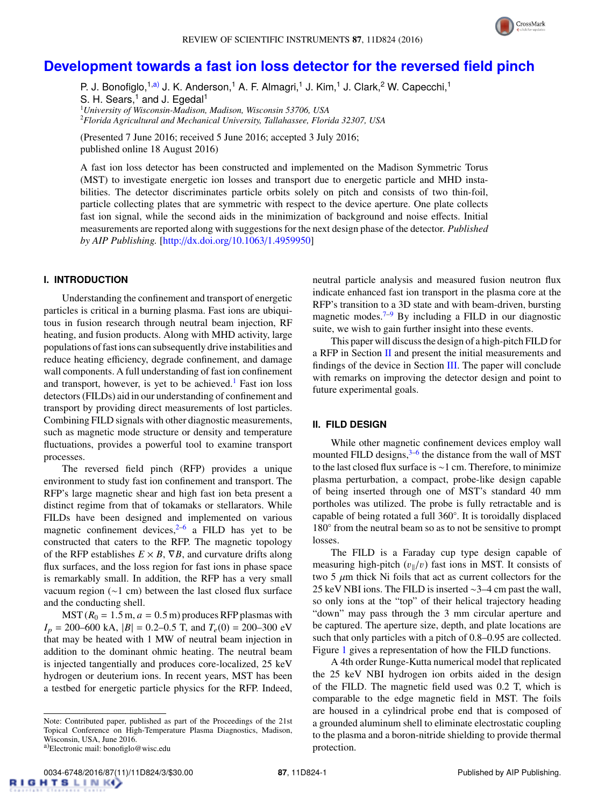

# **[Development towards a fast ion loss detector for the reversed field pinch](http://dx.doi.org/10.1063/1.4959950)**

P. J. Bonofiglo,<sup>1[,a\)](#page-1-0)</sup> J. K. Anderson,<sup>1</sup> A. F. Almagri,<sup>1</sup> J. Kim,<sup>1</sup> J. Clark,<sup>2</sup> W. Capecchi,<sup>1</sup> S. H. Sears,<sup>1</sup> and J. Egedal<sup>1</sup> <sup>1</sup>*University of Wisconsin-Madison, Madison, Wisconsin 53706, USA* <sup>2</sup>*Florida Agricultural and Mechanical University, Tallahassee, Florida 32307, USA*

(Presented 7 June 2016; received 5 June 2016; accepted 3 July 2016; published online 18 August 2016)

A fast ion loss detector has been constructed and implemented on the Madison Symmetric Torus (MST) to investigate energetic ion losses and transport due to energetic particle and MHD instabilities. The detector discriminates particle orbits solely on pitch and consists of two thin-foil, particle collecting plates that are symmetric with respect to the device aperture. One plate collects fast ion signal, while the second aids in the minimization of background and noise effects. Initial measurements are reported along with suggestions for the next design phase of the detector. *Published by AIP Publishing.* [\[http:](http://dx.doi.org/10.1063/1.4959950)//[dx.doi.org](http://dx.doi.org/10.1063/1.4959950)/[10.1063](http://dx.doi.org/10.1063/1.4959950)/[1.4959950\]](http://dx.doi.org/10.1063/1.4959950)

# **I. INTRODUCTION**

Understanding the confinement and transport of energetic particles is critical in a burning plasma. Fast ions are ubiquitous in fusion research through neutral beam injection, RF heating, and fusion products. Along with MHD activity, large populations of fast ions can subsequently drive instabilities and reduce heating efficiency, degrade confinement, and damage wall components. A full understanding of fast ion confinement and transport, however, is yet to be achieved.<sup>[1](#page-3-0)</sup> Fast ion loss detectors (FILDs) aid in our understanding of confinement and transport by providing direct measurements of lost particles. Combining FILD signals with other diagnostic measurements, such as magnetic mode structure or density and temperature fluctuations, provides a powerful tool to examine transport processes.

The reversed field pinch (RFP) provides a unique environment to study fast ion confinement and transport. The RFP's large magnetic shear and high fast ion beta present a distinct regime from that of tokamaks or stellarators. While FILDs have been designed and implemented on various magnetic confinement devices, $2^{-6}$  $2^{-6}$  a FILD has yet to be constructed that caters to the RFP. The magnetic topology of the RFP establishes  $E \times B$ ,  $\nabla B$ , and curvature drifts along flux surfaces, and the loss region for fast ions in phase space is remarkably small. In addition, the RFP has a very small vacuum region (∼1 cm) between the last closed flux surface and the conducting shell.

 $MST (R<sub>0</sub> = 1.5 m, a = 0.5 m)$  produces RFP plasmas with  $I_p = 200-600$  kA,  $|B| = 0.2-0.5$  T, and  $T_e(0) = 200-300$  eV that may be heated with 1 MW of neutral beam injection in addition to the dominant ohmic heating. The neutral beam is injected tangentially and produces core-localized, 25 keV hydrogen or deuterium ions. In recent years, MST has been a testbed for energetic particle physics for the RFP. Indeed,

neutral particle analysis and measured fusion neutron flux indicate enhanced fast ion transport in the plasma core at the RFP's transition to a 3D state and with beam-driven, bursting magnetic modes.<sup>[7](#page-3-3)[–9](#page-3-4)</sup> By including a FILD in our diagnostic suite, we wish to gain further insight into these events.

This paper will discuss the design of a high-pitch FILD for a RFP in Section [II](#page-1-1) and present the initial measurements and findings of the device in Section [III.](#page-2-0) The paper will conclude with remarks on improving the detector design and point to future experimental goals.

### <span id="page-1-1"></span>**II. FILD DESIGN**

While other magnetic confinement devices employ wall mounted FILD designs, $3-6$  $3-6$  the distance from the wall of MST to the last closed flux surface is ∼1 cm. Therefore, to minimize plasma perturbation, a compact, probe-like design capable of being inserted through one of MST's standard 40 mm portholes was utilized. The probe is fully retractable and is capable of being rotated a full 360◦ . It is toroidally displaced 180° from the neutral beam so as to not be sensitive to prompt losses.

The FILD is a Faraday cup type design capable of measuring high-pitch  $(v_{\parallel}/v)$  fast ions in MST. It consists of two 5  $\mu$ m thick Ni foils that act as current collectors for the 25 keV NBI ions. The FILD is inserted ∼3–4 cm past the wall, so only ions at the "top" of their helical trajectory heading "down" may pass through the 3 mm circular aperture and be captured. The aperture size, depth, and plate locations are such that only particles with a pitch of 0.8–0.95 are collected. Figure [1](#page-2-1) gives a representation of how the FILD functions.

A 4th order Runge-Kutta numerical model that replicated the 25 keV NBI hydrogen ion orbits aided in the design of the FILD. The magnetic field used was 0.2 T, which is comparable to the edge magnetic field in MST. The foils are housed in a cylindrical probe end that is composed of a grounded aluminum shell to eliminate electrostatic coupling to the plasma and a boron-nitride shielding to provide thermal protection.

Note: Contributed paper, published as part of the Proceedings of the 21st Topical Conference on High-Temperature Plasma Diagnostics, Madison, Wisconsin, USA, June 2016.

<span id="page-1-0"></span><sup>&</sup>lt;sup>a)</sup>Electronic mail: bonofiglo@wisc.edu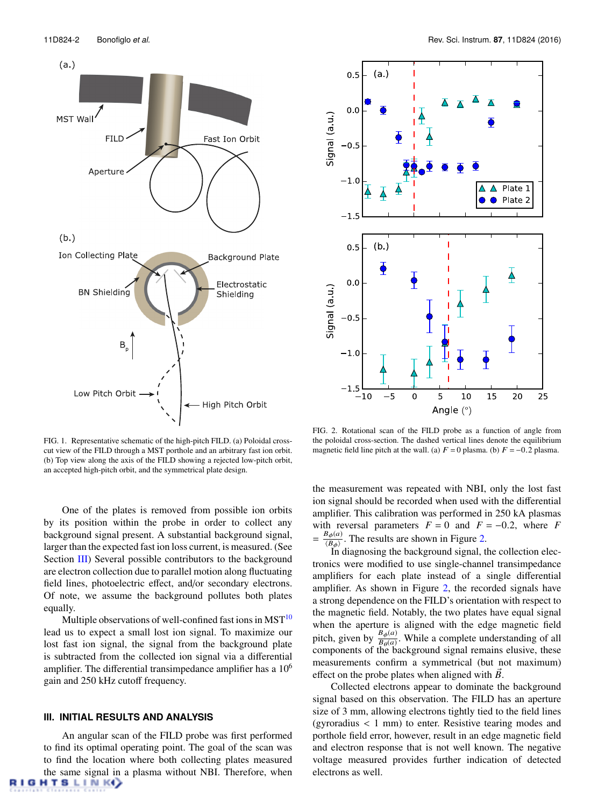<span id="page-2-1"></span>

FIG. 1. Representative schematic of the high-pitch FILD. (a) Poloidal crosscut view of the FILD through a MST porthole and an arbitrary fast ion orbit. (b) Top view along the axis of the FILD showing a rejected low-pitch orbit, an accepted high-pitch orbit, and the symmetrical plate design.

One of the plates is removed from possible ion orbits by its position within the probe in order to collect any background signal present. A substantial background signal, larger than the expected fast ion loss current, is measured. (See Section [III\)](#page-2-0) Several possible contributors to the background are electron collection due to parallel motion along fluctuating field lines, photoelectric effect, and/or secondary electrons. Of note, we assume the background pollutes both plates equally.

Multiple observations of well-confined fast ions in  $MST^{10}$  $MST^{10}$  $MST^{10}$ lead us to expect a small lost ion signal. To maximize our lost fast ion signal, the signal from the background plate is subtracted from the collected ion signal via a differential amplifier. The differential transimpedance amplifier has a  $10<sup>6</sup>$ gain and 250 kHz cutoff frequency.

## <span id="page-2-0"></span>**III. INITIAL RESULTS AND ANALYSIS**

An angular scan of the FILD probe was first performed to find its optimal operating point. The goal of the scan was to find the location where both collecting plates measured the same signal in a plasma without NBI. Therefore, when **HTSLINK** 

<span id="page-2-2"></span>

FIG. 2. Rotational scan of the FILD probe as a function of angle from the poloidal cross-section. The dashed vertical lines denote the equilibrium magnetic field line pitch at the wall. (a)  $F = 0$  plasma. (b)  $F = -0.2$  plasma.

the measurement was repeated with NBI, only the lost fast ion signal should be recorded when used with the differential amplifier. This calibration was performed in 250 kA plasmas with reversal parameters  $F = 0$  and  $F = -0.2$ , where *F* =  $\frac{B_{\phi}(a)}{B_{\phi}(b)}$  $\frac{\partial \phi(u)}{\partial \phi}$ . The results are shown in Figure [2.](#page-2-2)<br>In diagnosing the background signal t

In diagnosing the background signal, the collection electronics were modified to use single-channel transimpedance amplifiers for each plate instead of a single differential amplifier. As shown in Figure [2,](#page-2-2) the recorded signals have a strong dependence on the FILD's orientation with respect to the magnetic field. Notably, the two plates have equal signal when the aperture is aligned with the edge magnetic field pitch, given by  $\frac{B_{\phi}(a)}{B_{\phi}(a)}$  $\frac{B_{\phi}(a)}{B_{\theta}(a)}$ . While a complete understanding of all helphackeround signal remains elusive these components of the background signal remains elusive, these measurements confirm a symmetrical (but not maximum) effect on the probe plates when aligned with *B*.

Collected electrons appear to dominate the background signal based on this observation. The FILD has an aperture size of 3 mm, allowing electrons tightly tied to the field lines (gyroradius < 1 mm) to enter. Resistive tearing modes and porthole field error, however, result in an edge magnetic field and electron response that is not well known. The negative voltage measured provides further indication of detected electrons as well.